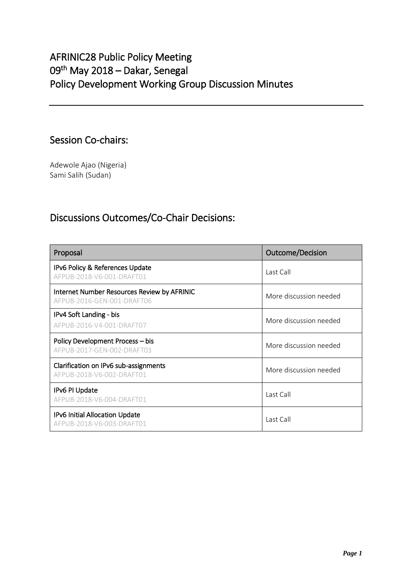# AFRINIC28 Public Policy Meeting 09<sup>th</sup> May 2018 – Dakar, Senegal Policy Development Working Group Discussion Minutes

# Session Co-chairs:

Adewole Ajao (Nigeria) Sami Salih (Sudan)

# Discussions Outcomes/Co-Chair Decisions:

| Proposal                                                                  | Outcome/Decision       |
|---------------------------------------------------------------------------|------------------------|
| IPv6 Policy & References Update<br>AFPUB-2018-V6-001-DRAFT01              | Last Call              |
| Internet Number Resources Review by AFRINIC<br>AFPUB-2016-GEN-001-DRAFT06 | More discussion needed |
| IPv4 Soft Landing - bis<br>AFPUB-2016-V4-001-DRAFT07                      | More discussion needed |
| Policy Development Process - bis<br>AFPUB-2017-GEN-002-DRAFT03            | More discussion needed |
| Clarification on IPv6 sub-assignments<br>AFPUB-2018-V6-002-DRAFT01        | More discussion needed |
| IPv6 PI Update<br>AFPUB-2018-V6-004-DRAFT01                               | Last Call              |
| IPv6 Initial Allocation Update<br>AFPUB-2018-V6-003-DRAFT01               | Last Call              |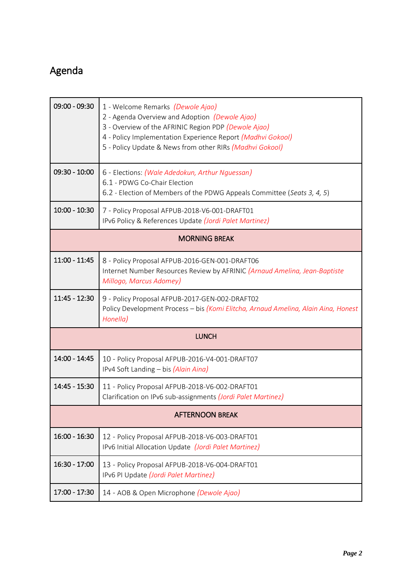# Agenda

| $09:00 - 09:30$        | 1 - Welcome Remarks <i>(Dewole Ajao)</i><br>2 - Agenda Overview and Adoption (Dewole Ajao)<br>3 - Overview of the AFRINIC Region PDP (Dewole Ajao)<br>4 - Policy Implementation Experience Report (Madhvi Gokool)<br>5 - Policy Update & News from other RIRs (Madhvi Gokool) |
|------------------------|-------------------------------------------------------------------------------------------------------------------------------------------------------------------------------------------------------------------------------------------------------------------------------|
| $09:30 - 10:00$        | 6 - Elections: (Wale Adedokun, Arthur Nguessan)<br>6.1 - PDWG Co-Chair Election<br>6.2 - Election of Members of the PDWG Appeals Committee (Seats 3, 4, 5)                                                                                                                    |
| $10:00 - 10:30$        | 7 - Policy Proposal AFPUB-2018-V6-001-DRAFT01<br>IPv6 Policy & References Update (Jordi Palet Martinez)                                                                                                                                                                       |
| <b>MORNING BREAK</b>   |                                                                                                                                                                                                                                                                               |
| $11:00 - 11:45$        | 8 - Policy Proposal AFPUB-2016-GEN-001-DRAFT06<br>Internet Number Resources Review by AFRINIC (Arnaud Amelina, Jean-Baptiste<br>Millogo, Marcus Adomey)                                                                                                                       |
| $11:45 - 12:30$        | 9 - Policy Proposal AFPUB-2017-GEN-002-DRAFT02<br>Policy Development Process - bis (Komi Elitcha, Arnaud Amelina, Alain Aina, Honest<br>Honella)                                                                                                                              |
| <b>LUNCH</b>           |                                                                                                                                                                                                                                                                               |
| 14:00 - 14:45          | 10 - Policy Proposal AFPUB-2016-V4-001-DRAFT07<br>IPv4 Soft Landing - bis (Alain Aina)                                                                                                                                                                                        |
| 14:45 - 15:30          | 11 - Policy Proposal AFPUB-2018-V6-002-DRAFT01<br>Clarification on IPv6 sub-assignments (Jordi Palet Martinez)                                                                                                                                                                |
| <b>AFTERNOON BREAK</b> |                                                                                                                                                                                                                                                                               |
| $16:00 - 16:30$        | 12 - Policy Proposal AFPUB-2018-V6-003-DRAFT01<br>IPv6 Initial Allocation Update (Jordi Palet Martinez)                                                                                                                                                                       |
| 16:30 - 17:00          | 13 - Policy Proposal AFPUB-2018-V6-004-DRAFT01<br>IPv6 PI Update (Jordi Palet Martinez)                                                                                                                                                                                       |
| 17:00 - 17:30          | 14 - AOB & Open Microphone (Dewole Ajao)                                                                                                                                                                                                                                      |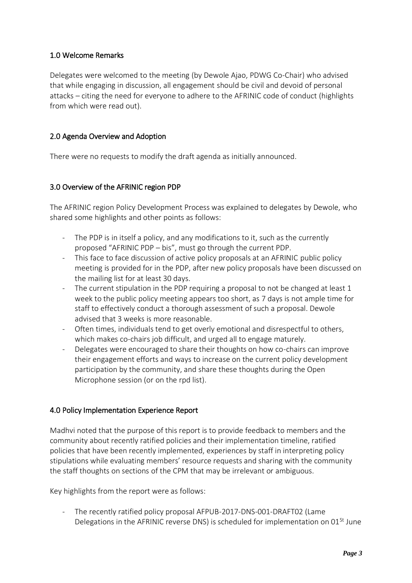# 1.0 Welcome Remarks

Delegates were welcomed to the meeting (by Dewole Ajao, PDWG Co-Chair) who advised that while engaging in discussion, all engagement should be civil and devoid of personal attacks – citing the need for everyone to adhere to the AFRINIC code of conduct (highlights from which were read out).

# 2.0 Agenda Overview and Adoption

There were no requests to modify the draft agenda as initially announced.

## 3.0 Overview of the AFRINIC region PDP

The AFRINIC region Policy Development Process was explained to delegates by Dewole, who shared some highlights and other points as follows:

- The PDP is in itself a policy, and any modifications to it, such as the currently proposed "AFRINIC PDP – bis", must go through the current PDP.
- This face to face discussion of active policy proposals at an AFRINIC public policy meeting is provided for in the PDP, after new policy proposals have been discussed on the mailing list for at least 30 days.
- The current stipulation in the PDP requiring a proposal to not be changed at least 1 week to the public policy meeting appears too short, as 7 days is not ample time for staff to effectively conduct a thorough assessment of such a proposal. Dewole advised that 3 weeks is more reasonable.
- Often times, individuals tend to get overly emotional and disrespectful to others, which makes co-chairs job difficult, and urged all to engage maturely.
- Delegates were encouraged to share their thoughts on how co-chairs can improve their engagement efforts and ways to increase on the current policy development participation by the community, and share these thoughts during the Open Microphone session (or on the rpd list).

## 4.0 Policy Implementation Experience Report

Madhvi noted that the purpose of this report is to provide feedback to members and the community about recently ratified policies and their implementation timeline, ratified policies that have been recently implemented, experiences by staff in interpreting policy stipulations while evaluating members' resource requests and sharing with the community the staff thoughts on sections of the CPM that may be irrelevant or ambiguous.

Key highlights from the report were as follows:

The recently ratified policy proposal AFPUB-2017-DNS-001-DRAFT02 (Lame Delegations in the AFRINIC reverse DNS) is scheduled for implementation on  $01<sup>St</sup>$  June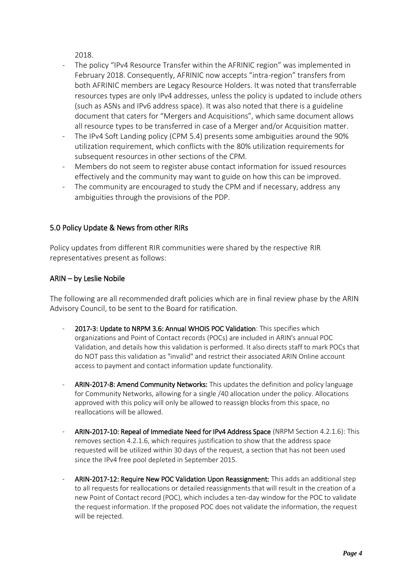2018.

- The policy "IPv4 Resource Transfer within the AFRINIC region" was implemented in February 2018. Consequently, AFRINIC now accepts "intra-region" transfers from both AFRINIC members are Legacy Resource Holders. It was noted that transferrable resources types are only IPv4 addresses, unless the policy is updated to include others (such as ASNs and IPv6 address space). It was also noted that there is a guideline document that caters for "Mergers and Acquisitions", which same document allows all resource types to be transferred in case of a Merger and/or Acquisition matter.
- The IPv4 Soft Landing policy (CPM 5.4) presents some ambiguities around the 90% utilization requirement, which conflicts with the 80% utilization requirements for subsequent resources in other sections of the CPM.
- Members do not seem to register abuse contact information for issued resources effectively and the community may want to guide on how this can be improved.
- The community are encouraged to study the CPM and if necessary, address any ambiguities through the provisions of the PDP.

# 5.0 Policy Update & News from other RIRs

Policy updates from different RIR communities were shared by the respective RIR representatives present as follows:

## ARIN – by Leslie Nobile

The following are all recommended draft policies which are in final review phase by the ARIN Advisory Council, to be sent to the Board for ratification.

- 2017-3: Update to NRPM 3.6: Annual WHOIS POC Validation: This specifies which organizations and Point of Contact records (POCs) are included in ARIN's annual POC Validation, and details how this validation is performed. It also directs staff to mark POCs that do NOT pass this validation as "invalid" and restrict their associated ARIN Online account access to payment and contact information update functionality.
- ARIN-2017-8: Amend Community Networks: This updates the definition and policy language for Community Networks, allowing for a single /40 allocation under the policy. Allocations approved with this policy will only be allowed to reassign blocks from this space, no reallocations will be allowed.
- ARIN-2017-10: Repeal of Immediate Need for IPv4 Address Space (NRPM Section 4.2.1.6): This removes section 4.2.1.6, which requires justification to show that the address space requested will be utilized within 30 days of the request, a section that has not been used since the IPv4 free pool depleted in September 2015.
- ARIN-2017-12: Require New POC Validation Upon Reassignment: This adds an additional step to all requests for reallocations or detailed reassignments that will result in the creation of a new Point of Contact record (POC), which includes a ten-day window for the POC to validate the request information. If the proposed POC does not validate the information, the request will be rejected.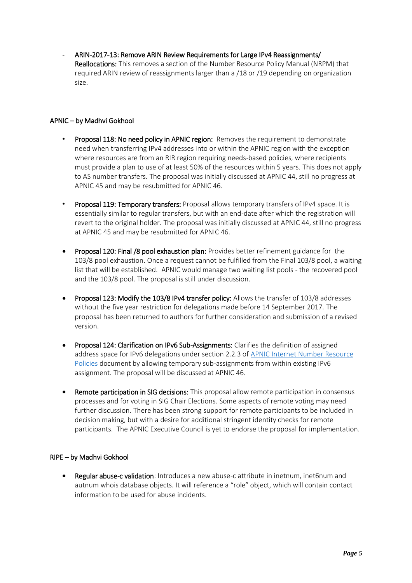ARIN-2017-13: Remove ARIN Review Requirements for Large IPv4 Reassignments/ Reallocations: This removes a section of the Number Resource Policy Manual (NRPM) that required ARIN review of reassignments larger than a /18 or /19 depending on organization size.

#### APNIC – by Madhvi Gokhool

- Proposal 118: No need policy in APNIC region: Removes the requirement to demonstrate need when transferring IPv4 addresses into or within the APNIC region with the exception where resources are from an RIR region requiring needs-based policies, where recipients must provide a plan to use of at least 50% of the resources within 5 years. This does not apply to AS number transfers. The proposal was initially discussed at APNIC 44, still no progress at APNIC 45 and may be resubmitted for APNIC 46.
- Proposal 119: Temporary transfers: Proposal allows temporary transfers of IPv4 space. It is essentially similar to regular transfers, but with an end-date after which the registration will revert to the original holder. The proposal was initially discussed at APNIC 44, still no progress at APNIC 45 and may be resubmitted for APNIC 46.
- Proposal 120: Final /8 pool exhaustion plan: Provides better refinement guidance for the 103/8 pool exhaustion. Once a request cannot be fulfilled from the Final 103/8 pool, a waiting list that will be established. APNIC would manage two waiting list pools - the recovered pool and the 103/8 pool. The proposal is still under discussion.
- Proposal 123: Modify the 103/8 IPv4 transfer policy: Allows the transfer of 103/8 addresses without the five year restriction for delegations made before 14 September 2017. The proposal has been returned to authors for further consideration and submission of a revised version.
- Proposal 124: Clarification on IPv6 Sub-Assignments: Clarifies the definition of assigned address space for IPv6 delegations under section 2.2.3 of [APNIC Internet Number Resource](https://www.apnic.net/community/policy/resources)  [Policies](https://www.apnic.net/community/policy/resources) document by allowing temporary sub-assignments from within existing IPv6 assignment. The proposal will be discussed at APNIC 46.
- Remote participation in SIG decisions: This proposal allow remote participation in consensus processes and for voting in SIG Chair Elections. Some aspects of remote voting may need further discussion. There has been strong support for remote participants to be included in decision making, but with a desire for additional stringent identity checks for remote participants. The APNIC Executive Council is yet to endorse the proposal for implementation.

#### RIPE – by Madhvi Gokhool

Regular abuse-c validation: Introduces a new abuse-c attribute in inetnum, inet6num and autnum whois database objects. It will reference a "role" object, which will contain contact information to be used for abuse incidents.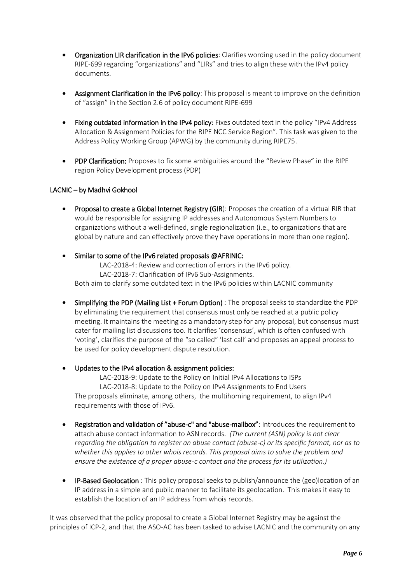- Organization LIR clarification in the IPv6 policies: Clarifies wording used in the policy document RIPE-699 regarding "organizations" and "LIRs" and tries to align these with the IPv4 policy documents.
- Assignment Clarification in the IPv6 policy: This proposal is meant to improve on the definition of "assign" in the Section 2.6 of policy document RIPE-699
- Fixing outdated information in the IPv4 policy: Fixes outdated text in the policy "IPv4 Address Allocation & Assignment Policies for the RIPE NCC Service Region". This task was given to the Address Policy Working Group (APWG) by the community during RIPE75.
- PDP Clarification: Proposes to fix some ambiguities around the "Review Phase" in the RIPE region Policy Development process (PDP)

#### LACNIC – by Madhvi Gokhool

- Proposal to create a Global Internet Registry (GIR): Proposes the creation of a virtual RIR that would be responsible for assigning IP addresses and Autonomous System Numbers to organizations without a well-defined, single regionalization (i.e., to organizations that are global by nature and can effectively prove they have operations in more than one region).
- Similar to some of the IPv6 related proposals @AFRINIC: LAC-2018-4: Review and correction of errors in the IPv6 policy. LAC-2018-7: Clarification of IPv6 Sub-Assignments. Both aim to clarify some outdated text in the IPv6 policies within LACNIC community
- Simplifying the PDP (Mailing List + Forum Option) : The proposal seeks to standardize the PDP by eliminating the requirement that consensus must only be reached at a public policy meeting. It maintains the meeting as a mandatory step for any proposal, but consensus must cater for mailing list discussions too. It clarifies 'consensus', which is often confused with 'voting', clarifies the purpose of the "so called" 'last call' and proposes an appeal process to be used for policy development dispute resolution.
- Updates to the IPv4 allocation & assignment policies:

LAC-2018-9: Update to the Policy on Initial IPv4 Allocations to ISPs LAC-2018-8: Update to the Policy on IPv4 Assignments to End Users The proposals eliminate, among others, the multihoming requirement, to align IPv4 requirements with those of IPv6.

- Registration and validation of "abuse-c" and "abuse-mailbox": Introduces the requirement to attach abuse contact information to ASN records. *(The current (ASN) policy is not clear regarding the obligation to register an abuse contact (abuse-c) or its specific format, nor as to whether this applies to other whois records. This proposal aims to solve the problem and ensure the existence of a proper abuse-c contact and the process for its utilization.)*
- IP-Based Geolocation : This policy proposal seeks to publish/announce the (geo)location of an IP address in a simple and public manner to facilitate its geolocation. This makes it easy to establish the location of an IP address from whois records.

It was observed that the policy proposal to create a Global Internet Registry may be against the principles of ICP-2, and that the ASO-AC has been tasked to advise LACNIC and the community on any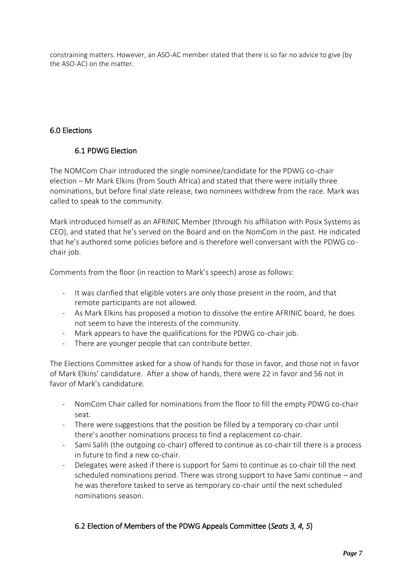constraining matters. However, an ASO-AC member stated that there is so far no advice to give (by the ASO-AC) on the matter.

# 6.0 Elections

# 6.1 PDWG Election

The NOMCom Chair introduced the single nominee/candidate for the PDWG co-chair election – Mr Mark Elkins (from South Africa) and stated that there were initially three nominations, but before final slate release, two nominees withdrew from the race. Mark was called to speak to the community.

Mark introduced himself as an AFRINIC Member (through his affiliation with Posix Systems as CEO), and stated that he's served on the Board and on the NomCom in the past. He indicated that he's authored some policies before and is therefore well conversant with the PDWG cochair job.

Comments from the floor (in reaction to Mark's speech) arose as follows:

- It was clarified that eligible voters are only those present in the room, and that remote participants are not allowed.
- As Mark Elkins has proposed a motion to dissolve the entire AFRINIC board, he does not seem to have the interests of the community.
- Mark appears to have the qualifications for the PDWG co-chair job.
- There are younger people that can contribute better.

The Elections Committee asked for a show of hands for those in favor, and those not in favor of Mark Elkins' candidature. After a show of hands, there were 22 in favor and 56 not in favor of Mark's candidature.

- NomCom Chair called for nominations from the floor to fill the empty PDWG co-chair seat.
- There were suggestions that the position be filled by a temporary co-chair until there's another nominations process to find a replacement co-chair.
- Sami Salih (the outgoing co-chair) offered to continue as co-chair till there is a process in future to find a new co-chair.
- Delegates were asked if there is support for Sami to continue as co-chair till the next scheduled nominations period. There was strong support to have Sami continue – and he was therefore tasked to serve as temporary co-chair until the next scheduled nominations season.

## 6.2 Election of Members of the PDWG Appeals Committee (*Seats 3, 4, 5*)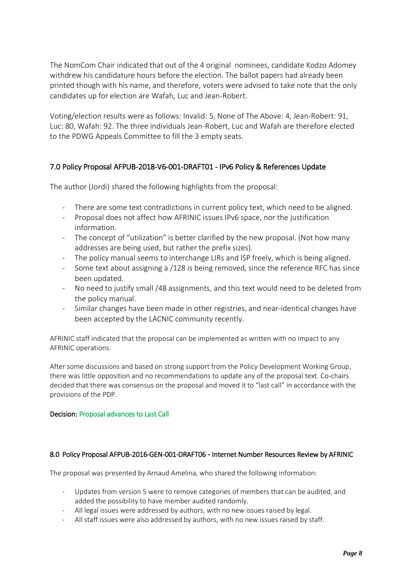The NomCom Chair indicated that out of the 4 original nominees, candidate Kodzo Adomey withdrew his candidature hours before the election. The ballot papers had already been printed though with his name, and therefore, voters were advised to take note that the only candidates up for election are Wafah, Luc and Jean-Robert.

Voting/election results were as follows: Invalid: 5, None of The Above: 4, Jean-Robert: 91, Luc: 80, Wafah: 92. The three individuals Jean-Robert, Luc and Wafah are therefore elected to the PDWG Appeals Committee to fill the 3 empty seats.

# 7.0 Policy Proposal AFPUB-2018-V6-001-DRAFT01 - IPv6 Policy & References Update

The author (Jordi) shared the following highlights from the proposal:

- There are some text contradictions in current policy text, which need to be aligned.
- Proposal does not affect how AFRINIC issues IPv6 space, nor the justification information.
- The concept of "utilization" is better clarified by the new proposal. (Not how many addresses are being used, but rather the prefix sizes).
- The policy manual seems to interchange LIRs and ISP freely, which is being aligned.
- Some text about assigning a /128 is being removed, since the reference RFC has since been updated.
- No need to justify small /48 assignments, and this text would need to be deleted from the policy manual.
- Similar changes have been made in other registries, and near-identical changes have been accepted by the LACNIC community recently.

AFRINIC staff indicated that the proposal can be implemented as written with no impact to any AFRINIC operations.

After some discussions and based on strong support from the Policy Development Working Group, there was little opposition and no recommendations to update any of the proposal text. Co-chairs decided that there was consensus on the proposal and moved it to "last call" in accordance with the provisions of the PDP.

#### Decision: Proposal advances to Last Call

#### 8.0 Policy Proposal AFPUB-2016-GEN-001-DRAFT06 - Internet Number Resources Review by AFRINIC

The proposal was presented by Arnaud Amelina, who shared the following information:

- Updates from version 5 were to remove categories of members that can be audited, and added the possibility to have member audited randomly.
- All legal issues were addressed by authors, with no new issues raised by legal.
- All staff issues were also addressed by authors, with no new issues raised by staff.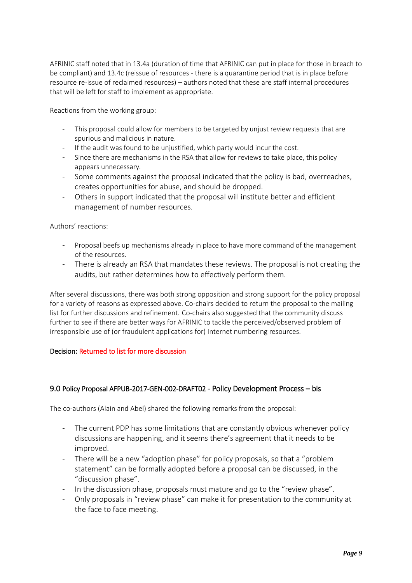AFRINIC staff noted that in 13.4a (duration of time that AFRINIC can put in place for those in breach to be compliant) and 13.4c (reissue of resources - there is a quarantine period that is in place before resource re-issue of reclaimed resources) – authors noted that these are staff internal procedures that will be left for staff to implement as appropriate.

Reactions from the working group:

- This proposal could allow for members to be targeted by unjust review requests that are spurious and malicious in nature.
- If the audit was found to be unjustified, which party would incur the cost.
- Since there are mechanisms in the RSA that allow for reviews to take place, this policy appears unnecessary.
- Some comments against the proposal indicated that the policy is bad, overreaches, creates opportunities for abuse, and should be dropped.
- Others in support indicated that the proposal will institute better and efficient management of number resources.

Authors' reactions:

- Proposal beefs up mechanisms already in place to have more command of the management of the resources.
- There is already an RSA that mandates these reviews. The proposal is not creating the audits, but rather determines how to effectively perform them.

After several discussions, there was both strong opposition and strong support for the policy proposal for a variety of reasons as expressed above. Co-chairs decided to return the proposal to the mailing list for further discussions and refinement. Co-chairs also suggested that the community discuss further to see if there are better ways for AFRINIC to tackle the perceived/observed problem of irresponsible use of (or fraudulent applications for) Internet numbering resources.

#### Decision: Returned to list for more discussion

#### 9.0 Policy Proposal AFPUB-2017-GEN-002-DRAFT02 - Policy Development Process – bis

The co-authors (Alain and Abel) shared the following remarks from the proposal:

- The current PDP has some limitations that are constantly obvious whenever policy discussions are happening, and it seems there's agreement that it needs to be improved.
- There will be a new "adoption phase" for policy proposals, so that a "problem" statement" can be formally adopted before a proposal can be discussed, in the "discussion phase".
- In the discussion phase, proposals must mature and go to the "review phase".
- Only proposals in "review phase" can make it for presentation to the community at the face to face meeting.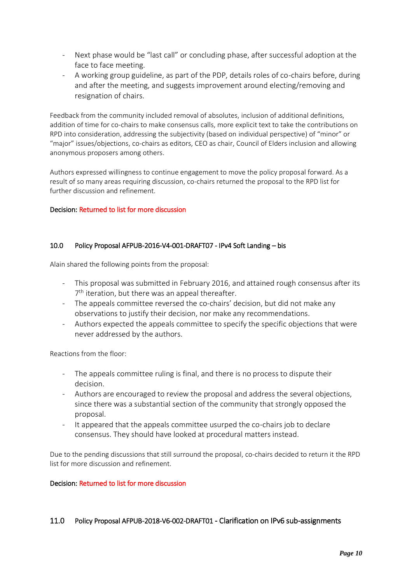- Next phase would be "last call" or concluding phase, after successful adoption at the face to face meeting.
- A working group guideline, as part of the PDP, details roles of co-chairs before, during and after the meeting, and suggests improvement around electing/removing and resignation of chairs.

Feedback from the community included removal of absolutes, inclusion of additional definitions, addition of time for co-chairs to make consensus calls, more explicit text to take the contributions on RPD into consideration, addressing the subjectivity (based on individual perspective) of "minor" or "major" issues/objections, co-chairs as editors, CEO as chair, Council of Elders inclusion and allowing anonymous proposers among others.

Authors expressed willingness to continue engagement to move the policy proposal forward. As a result of so many areas requiring discussion, co-chairs returned the proposal to the RPD list for further discussion and refinement.

#### Decision: Returned to list for more discussion

#### 10.0 Policy Proposal AFPUB-2016-V4-001-DRAFT07 - IPv4 Soft Landing – bis

Alain shared the following points from the proposal:

- This proposal was submitted in February 2016, and attained rough consensus after its 7<sup>th</sup> iteration, but there was an appeal thereafter.
- The appeals committee reversed the co-chairs' decision, but did not make any observations to justify their decision, nor make any recommendations.
- Authors expected the appeals committee to specify the specific objections that were never addressed by the authors.

Reactions from the floor:

- The appeals committee ruling is final, and there is no process to dispute their decision.
- Authors are encouraged to review the proposal and address the several objections, since there was a substantial section of the community that strongly opposed the proposal.
- It appeared that the appeals committee usurped the co-chairs job to declare consensus. They should have looked at procedural matters instead.

Due to the pending discussions that still surround the proposal, co-chairs decided to return it the RPD list for more discussion and refinement.

#### Decision: Returned to list for more discussion

#### 11.0 Policy Proposal AFPUB-2018-V6-002-DRAFT01 - Clarification on IPv6 sub-assignments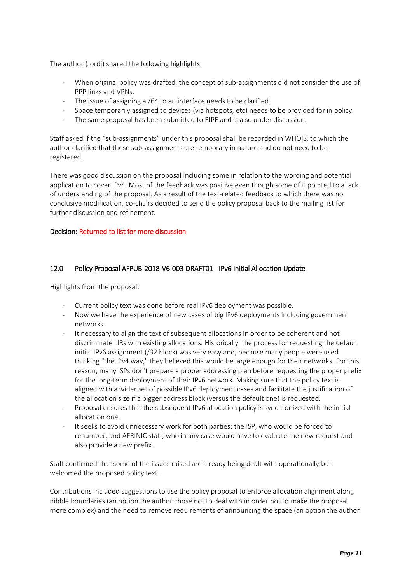The author (Jordi) shared the following highlights:

- When original policy was drafted, the concept of sub-assignments did not consider the use of PPP links and VPNs.
- The issue of assigning a /64 to an interface needs to be clarified.
- Space temporarily assigned to devices (via hotspots, etc) needs to be provided for in policy.
- The same proposal has been submitted to RIPE and is also under discussion.

Staff asked if the "sub-assignments" under this proposal shall be recorded in WHOIS, to which the author clarified that these sub-assignments are temporary in nature and do not need to be registered.

There was good discussion on the proposal including some in relation to the wording and potential application to cover IPv4. Most of the feedback was positive even though some of it pointed to a lack of understanding of the proposal. As a result of the text-related feedback to which there was no conclusive modification, co-chairs decided to send the policy proposal back to the mailing list for further discussion and refinement.

#### Decision: Returned to list for more discussion

#### 12.0 Policy Proposal AFPUB-2018-V6-003-DRAFT01 - IPv6 Initial Allocation Update

Highlights from the proposal:

- Current policy text was done before real IPv6 deployment was possible.
- Now we have the experience of new cases of big IPv6 deployments including government networks.
- It necessary to align the text of subsequent allocations in order to be coherent and not discriminate LIRs with existing allocations. Historically, the process for requesting the default initial IPv6 assignment (/32 block) was very easy and, because many people were used thinking "the IPv4 way," they believed this would be large enough for their networks. For this reason, many ISPs don't prepare a proper addressing plan before requesting the proper prefix for the long-term deployment of their IPv6 network. Making sure that the policy text is aligned with a wider set of possible IPv6 deployment cases and facilitate the justification of the allocation size if a bigger address block (versus the default one) is requested.
- Proposal ensures that the subsequent IPv6 allocation policy is synchronized with the initial allocation one.
- It seeks to avoid unnecessary work for both parties: the ISP, who would be forced to renumber, and AFRINIC staff, who in any case would have to evaluate the new request and also provide a new prefix.

Staff confirmed that some of the issues raised are already being dealt with operationally but welcomed the proposed policy text.

Contributions included suggestions to use the policy proposal to enforce allocation alignment along nibble boundaries (an option the author chose not to deal with in order not to make the proposal more complex) and the need to remove requirements of announcing the space (an option the author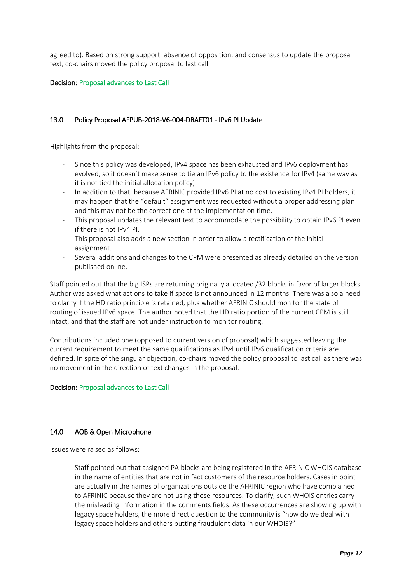agreed to). Based on strong support, absence of opposition, and consensus to update the proposal text, co-chairs moved the policy proposal to last call.

#### Decision: Proposal advances to Last Call

#### 13.0 Policy Proposal AFPUB-2018-V6-004-DRAFT01 - IPv6 PI Update

Highlights from the proposal:

- Since this policy was developed, IPv4 space has been exhausted and IPv6 deployment has evolved, so it doesn't make sense to tie an IPv6 policy to the existence for IPv4 (same way as it is not tied the initial allocation policy).
- In addition to that, because AFRINIC provided IPv6 PI at no cost to existing IPv4 PI holders, it may happen that the "default" assignment was requested without a proper addressing plan and this may not be the correct one at the implementation time.
- This proposal updates the relevant text to accommodate the possibility to obtain IPv6 PI even if there is not IPv4 PI.
- This proposal also adds a new section in order to allow a rectification of the initial assignment.
- Several additions and changes to the CPM were presented as already detailed on the version published online.

Staff pointed out that the big ISPs are returning originally allocated /32 blocks in favor of larger blocks. Author was asked what actions to take if space is not announced in 12 months. There was also a need to clarify if the HD ratio principle is retained, plus whether AFRINIC should monitor the state of routing of issued IPv6 space. The author noted that the HD ratio portion of the current CPM is still intact, and that the staff are not under instruction to monitor routing.

Contributions included one (opposed to current version of proposal) which suggested leaving the current requirement to meet the same qualifications as IPv4 until IPv6 qualification criteria are defined. In spite of the singular objection, co-chairs moved the policy proposal to last call as there was no movement in the direction of text changes in the proposal.

#### Decision: Proposal advances to Last Call

#### 14.0 AOB & Open Microphone

Issues were raised as follows:

- Staff pointed out that assigned PA blocks are being registered in the AFRINIC WHOIS database in the name of entities that are not in fact customers of the resource holders. Cases in point are actually in the names of organizations outside the AFRINIC region who have complained to AFRINIC because they are not using those resources. To clarify, such WHOIS entries carry the misleading information in the comments fields. As these occurrences are showing up with legacy space holders, the more direct question to the community is "how do we deal with legacy space holders and others putting fraudulent data in our WHOIS?"